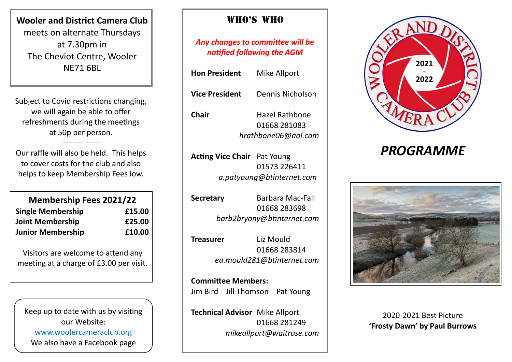**Wooler and District Camera Club**  meets on alternate Thursdays at 7.30pm in The Cheviot Centre, Wooler NE71 6BL

Subject to Covid restrictions changing, we will again be able to offer refreshments during the meetings at 50p per person.

Our raffle will also be held. This helps to cover costs for the club and also helps to keep Membership Fees low.

—————

| <b>Membership Fees 2021/22</b> |        |
|--------------------------------|--------|
| <b>Single Membership</b>       | £15.00 |
| <b>Joint Membership</b>        | £25.00 |
| <b>Junior Membership</b>       | £10.00 |

Visitors are welcome to attend any meeting at a charge of £3.00 per visit.

Keep up to date with us by visiting our Website: www.woolercameraclub.org We also have a Facebook page

## Who's Who

*Any changes to committee will be notified following the AGM*

**Hon President** Mike Allport **Vice President** Dennis Nicholson

**Chair** Hazel Rathbone 01668 281083 *hrathbone06@aol.com*

**Acting Vice Chair** Pat Young 01573 226411  *a.patyoung@btinternet.com*

**Secretary** Barbara Mac-Fall 01668 283698 *barb2bryony@btinternet.com*

**Treasurer** Liz Mould 01668 283814 *ea.mould281@btinternet.com*

**Committee Members:** Jim Bird Jill Thomson Pat Young

**Technical Advisor** Mike Allport 01668 281249 *mikeallport@waitrose.com*



# *PROGRAMME*



2020-2021 Best Picture **'Frosty Dawn' by Paul Burrows**